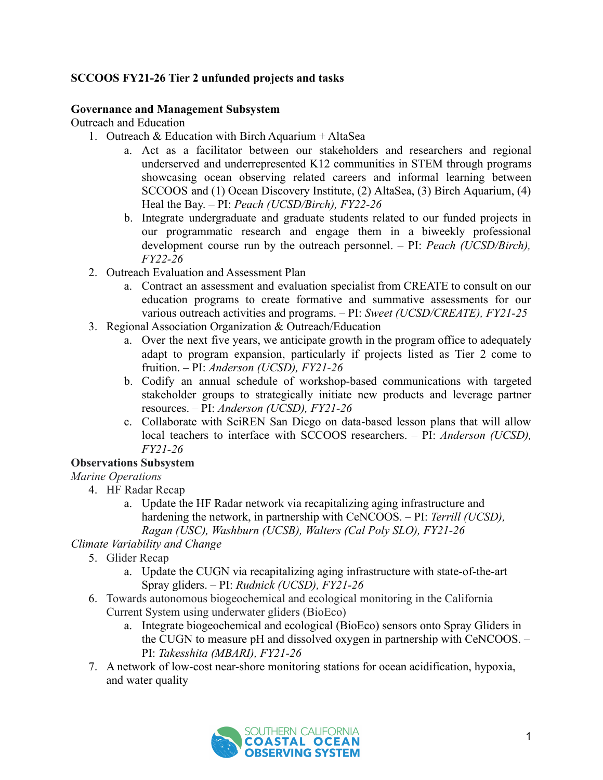## **SCCOOS FY21-26 Tier 2 unfunded projects and tasks**

#### **Governance and Management Subsystem**

Outreach and Education

- 1. Outreach & Education with Birch Aquarium + AltaSea
	- a. Act as a facilitator between our stakeholders and researchers and regional underserved and underrepresented K12 communities in STEM through programs showcasing ocean observing related careers and informal learning between SCCOOS and (1) Ocean Discovery Institute, (2) AltaSea, (3) Birch Aquarium, (4) Heal the Bay. – PI: *Peach (UCSD/Birch), FY22-26*
	- b. Integrate undergraduate and graduate students related to our funded projects in our programmatic research and engage them in a biweekly professional development course run by the outreach personnel. – PI: *Peach (UCSD/Birch), FY22-26*
- 2. Outreach Evaluation and Assessment Plan
	- a. Contract an assessment and evaluation specialist from CREATE to consult on our education programs to create formative and summative assessments for our various outreach activities and programs. – PI: *Sweet (UCSD/CREATE), FY21-25*
- 3. Regional Association Organization & Outreach/Education
	- a. Over the next five years, we anticipate growth in the program office to adequately adapt to program expansion, particularly if projects listed as Tier 2 come to fruition. – PI: *Anderson (UCSD), FY21-26*
	- b. Codify an annual schedule of workshop-based communications with targeted stakeholder groups to strategically initiate new products and leverage partner resources. – PI: *Anderson (UCSD), FY21-26*
	- c. Collaborate with SciREN San Diego on data-based lesson plans that will allow local teachers to interface with SCCOOS researchers. – PI: *Anderson (UCSD), FY21-26*

### **Observations Subsystem**

### *Marine Operations*

- 4. HF Radar Recap
	- a. Update the HF Radar network via recapitalizing aging infrastructure and hardening the network, in partnership with CeNCOOS. – PI: *Terrill (UCSD), Ragan (USC), Washburn (UCSB), Walters (Cal Poly SLO), FY21-26*

### *Climate Variability and Change*

- 5. Glider Recap
	- a. Update the CUGN via recapitalizing aging infrastructure with state-of-the-art Spray gliders. – PI: *Rudnick (UCSD), FY21-26*
- 6. Towards autonomous biogeochemical and ecological monitoring in the California Current System using underwater gliders (BioEco)
	- a. Integrate biogeochemical and ecological (BioEco) sensors onto Spray Gliders in the CUGN to measure pH and dissolved oxygen in partnership with CeNCOOS. – PI: *Takesshita (MBARI), FY21-26*
- 7. A network of low-cost near-shore monitoring stations for ocean acidification, hypoxia, and water quality

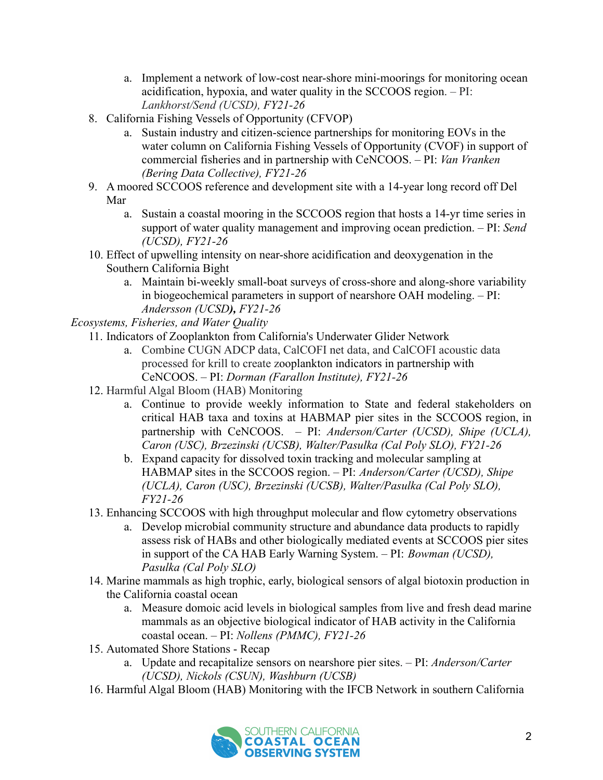- a. Implement a network of low-cost near-shore mini-moorings for monitoring ocean acidification, hypoxia, and water quality in the SCCOOS region. – PI: *Lankhorst/Send (UCSD), FY21-26*
- 8. California Fishing Vessels of Opportunity (CFVOP)
	- a. Sustain industry and citizen-science partnerships for monitoring EOVs in the water column on California Fishing Vessels of Opportunity (CVOF) in support of commercial fisheries and in partnership with CeNCOOS. – PI: *Van Vranken (Bering Data Collective), FY21-26*
- 9. A moored SCCOOS reference and development site with a 14-year long record off Del Mar
	- a. Sustain a coastal mooring in the SCCOOS region that hosts a 14-yr time series in support of water quality management and improving ocean prediction. – PI: *Send (UCSD), FY21-26*
- 10. Effect of upwelling intensity on near-shore acidification and deoxygenation in the Southern California Bight
	- a. Maintain bi-weekly small-boat surveys of cross-shore and along-shore variability in biogeochemical parameters in support of nearshore OAH modeling. – PI: *Andersson (UCSD), FY21-26*

*Ecosystems, Fisheries, and Water Quality*

- 11. Indicators of Zooplankton from California's Underwater Glider Network
	- a. Combine CUGN ADCP data, CalCOFI net data, and CalCOFI acoustic data processed for krill to create zooplankton indicators in partnership with CeNCOOS. – PI: *Dorman (Farallon Institute), FY21-26*
	- 12. Harmful Algal Bloom (HAB) Monitoring
		- a. Continue to provide weekly information to State and federal stakeholders on critical HAB taxa and toxins at HABMAP pier sites in the SCCOOS region, in partnership with CeNCOOS. – PI: *Anderson/Carter (UCSD), Shipe (UCLA), Caron (USC), Brzezinski (UCSB), Walter/Pasulka (Cal Poly SLO), FY21-26*
		- b. Expand capacity for dissolved toxin tracking and molecular sampling at HABMAP sites in the SCCOOS region. – PI: *Anderson/Carter (UCSD), Shipe (UCLA), Caron (USC), Brzezinski (UCSB), Walter/Pasulka (Cal Poly SLO), FY21-26*
	- 13. Enhancing SCCOOS with high throughput molecular and flow cytometry observations
		- a. Develop microbial community structure and abundance data products to rapidly assess risk of HABs and other biologically mediated events at SCCOOS pier sites in support of the CA HAB Early Warning System. – PI: *Bowman (UCSD), Pasulka (Cal Poly SLO)*
	- 14. Marine mammals as high trophic, early, biological sensors of algal biotoxin production in the California coastal ocean
		- a. Measure domoic acid levels in biological samples from live and fresh dead marine mammals as an objective biological indicator of HAB activity in the California coastal ocean. – PI: *Nollens (PMMC), FY21-26*
	- 15. Automated Shore Stations Recap
		- a. Update and recapitalize sensors on nearshore pier sites. PI: *Anderson/Carter (UCSD), Nickols (CSUN), Washburn (UCSB)*
	- 16. Harmful Algal Bloom (HAB) Monitoring with the IFCB Network in southern California

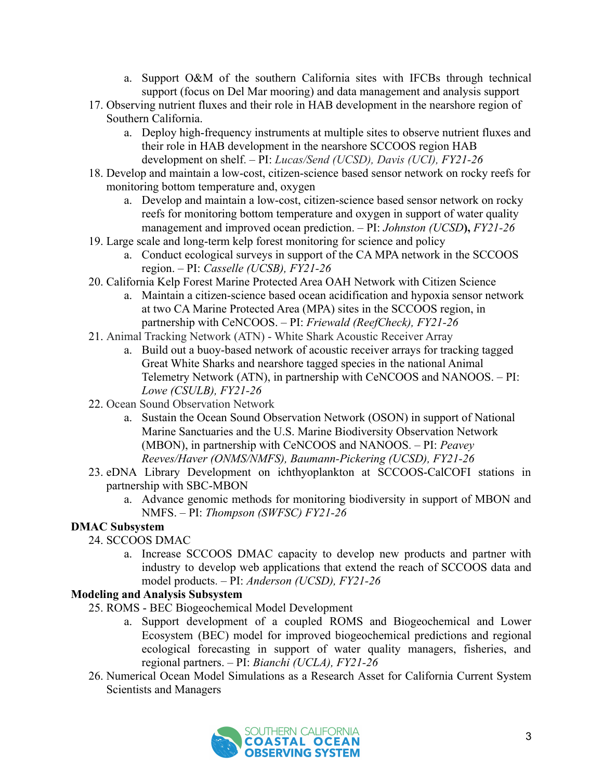- a. Support O&M of the southern California sites with IFCBs through technical support (focus on Del Mar mooring) and data management and analysis support
- 17. Observing nutrient fluxes and their role in HAB development in the nearshore region of Southern California.
	- a. Deploy high-frequency instruments at multiple sites to observe nutrient fluxes and their role in HAB development in the nearshore SCCOOS region HAB development on shelf. – PI: *Lucas/Send (UCSD), Davis (UCI), FY21-26*
- 18. Develop and maintain a low-cost, citizen-science based sensor network on rocky reefs for monitoring bottom temperature and, oxygen
	- a. Develop and maintain a low-cost, citizen-science based sensor network on rocky reefs for monitoring bottom temperature and oxygen in support of water quality management and improved ocean prediction. – PI: *Johnston (UCSD***),** *FY21-26*
- 19. Large scale and long-term kelp forest monitoring for science and policy
	- a. Conduct ecological surveys in support of the CA MPA network in the SCCOOS region. – PI: *Casselle (UCSB), FY21-26*
- 20. California Kelp Forest Marine Protected Area OAH Network with Citizen Science
	- a. Maintain a citizen-science based ocean acidification and hypoxia sensor network at two CA Marine Protected Area (MPA) sites in the SCCOOS region, in partnership with CeNCOOS. – PI: *Friewald (ReefCheck), FY21-26*
- 21. Animal Tracking Network (ATN) White Shark Acoustic Receiver Array
	- a. Build out a buoy-based network of acoustic receiver arrays for tracking tagged Great White Sharks and nearshore tagged species in the national Animal Telemetry Network (ATN), in partnership with CeNCOOS and NANOOS. – PI: *Lowe (CSULB), FY21-26*
- 22. Ocean Sound Observation Network
	- a. Sustain the Ocean Sound Observation Network (OSON) in support of National Marine Sanctuaries and the U.S. Marine Biodiversity Observation Network (MBON), in partnership with CeNCOOS and NANOOS. – PI: *Peavey Reeves/Haver (ONMS/NMFS), Baumann-Pickering (UCSD), FY21-26*
- 23. eDNA Library Development on ichthyoplankton at SCCOOS-CalCOFI stations in partnership with SBC-MBON
	- a. Advance genomic methods for monitoring biodiversity in support of MBON and NMFS. – PI: *Thompson (SWFSC) FY21-26*

# **DMAC Subsystem**

- 24. SCCOOS DMAC
	- a. Increase SCCOOS DMAC capacity to develop new products and partner with industry to develop web applications that extend the reach of SCCOOS data and model products. – PI: *Anderson (UCSD), FY21-26*

### **Modeling and Analysis Subsystem**

- 25. ROMS BEC Biogeochemical Model Development
	- a. Support development of a coupled ROMS and Biogeochemical and Lower Ecosystem (BEC) model for improved biogeochemical predictions and regional ecological forecasting in support of water quality managers, fisheries, and regional partners. – PI: *Bianchi (UCLA), FY21-26*
- 26. Numerical Ocean Model Simulations as a Research Asset for California Current System Scientists and Managers